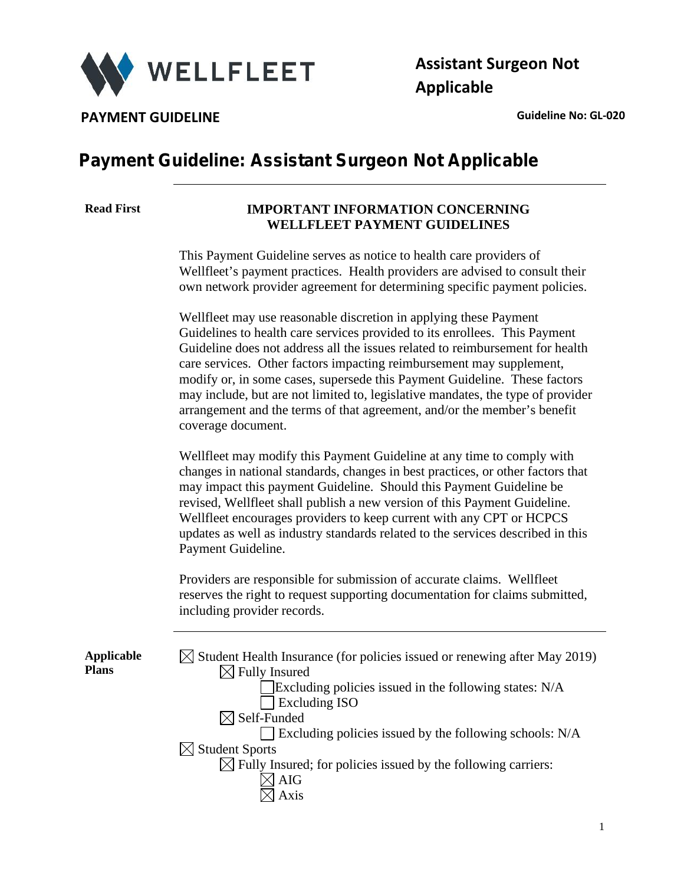

**Assistant Surgeon Not Applicable**

**PAYMENT GUIDELINE CONSUMING A CONSUMING A CONSUMING A CONSUMING A CONSUMING A CONSUMING A CONSUMING A CONSUMING A CONSUMING A CONSUMING A CONSUMING A CONSUMING A CONSUMING A CONSUMING A CONSUMING A CONSUMING A CONSUMING** 

## **Payment Guideline: Assistant Surgeon Not Applicable**

### **Read First IMPORTANT INFORMATION CONCERNING WELLFLEET PAYMENT GUIDELINES**

This Payment Guideline serves as notice to health care providers of Wellfleet's payment practices. Health providers are advised to consult their own network provider agreement for determining specific payment policies.

Wellfleet may use reasonable discretion in applying these Payment Guidelines to health care services provided to its enrollees. This Payment Guideline does not address all the issues related to reimbursement for health care services. Other factors impacting reimbursement may supplement, modify or, in some cases, supersede this Payment Guideline. These factors may include, but are not limited to, legislative mandates, the type of provider arrangement and the terms of that agreement, and/or the member's benefit coverage document.

Wellfleet may modify this Payment Guideline at any time to comply with changes in national standards, changes in best practices, or other factors that may impact this payment Guideline. Should this Payment Guideline be revised, Wellfleet shall publish a new version of this Payment Guideline. Wellfleet encourages providers to keep current with any CPT or HCPCS updates as well as industry standards related to the services described in this Payment Guideline.

Providers are responsible for submission of accurate claims. Wellfleet reserves the right to request supporting documentation for claims submitted, including provider records.

**Applicable Plans**

| $\boxtimes$ Student Health Insurance (for policies issued or renewing after May 2019)<br>$\boxtimes$ Fully Insured |
|--------------------------------------------------------------------------------------------------------------------|
| Excluding policies issued in the following states: N/A                                                             |
|                                                                                                                    |
| <b>Excluding ISO</b>                                                                                               |
| $\boxtimes$ Self-Funded                                                                                            |
| $\Box$ Excluding policies issued by the following schools: N/A                                                     |
| $\boxtimes$ Student Sports                                                                                         |
| $\boxtimes$ Fully Insured; for policies issued by the following carriers:                                          |
| <b>AIG</b>                                                                                                         |
| Axis                                                                                                               |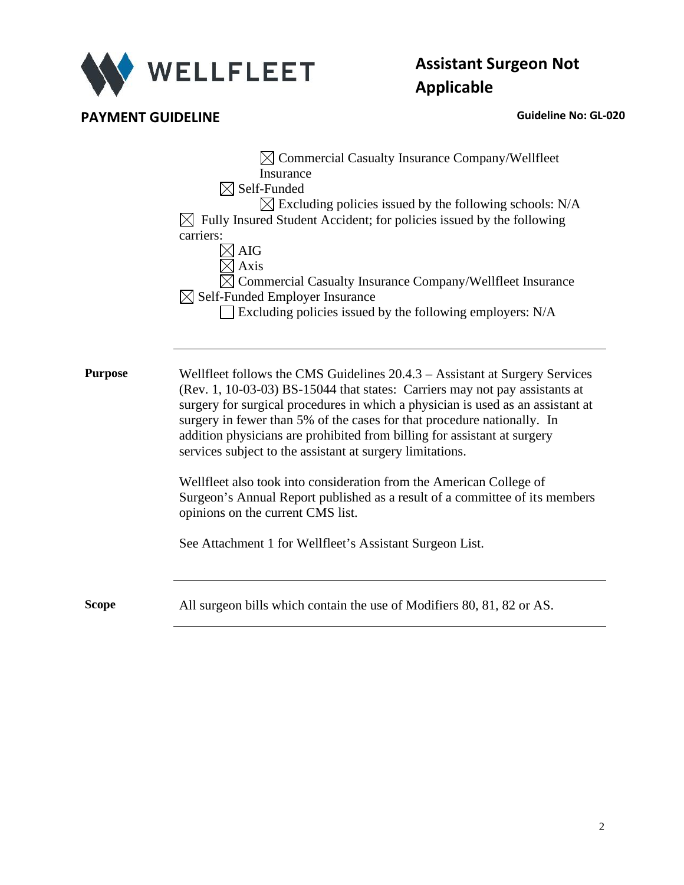

# **Assistant Surgeon Not Applicable**

**PAYMENT GUIDELINE CONSUMING A CONSUMING A CONSUMING A CONSUMING A CONSUMING A CONSUMING A CONSUMING A CONSUMING A CONSUMING A CONSUMING A CONSUMING A CONSUMING A CONSUMING A CONSUMING A CONSUMING A CONSUMING A CONSUMING** 

|                | $\boxtimes$ Commercial Casualty Insurance Company/Wellfleet<br>Insurance<br>$\boxtimes$ Self-Funded<br>$\boxtimes$ Excluding policies issued by the following schools: N/A<br>$\boxtimes$ Fully Insured Student Accident; for policies issued by the following<br>carriers:<br><b>AIG</b><br>Axis<br>Commercial Casualty Insurance Company/Wellfleet Insurance<br>$\boxtimes$ Self-Funded Employer Insurance<br>Excluding policies issued by the following employers: N/A                                                                                                                                               |
|----------------|-------------------------------------------------------------------------------------------------------------------------------------------------------------------------------------------------------------------------------------------------------------------------------------------------------------------------------------------------------------------------------------------------------------------------------------------------------------------------------------------------------------------------------------------------------------------------------------------------------------------------|
| <b>Purpose</b> | Wellfleet follows the CMS Guidelines 20.4.3 – Assistant at Surgery Services<br>(Rev. 1, 10-03-03) BS-15044 that states: Carriers may not pay assistants at<br>surgery for surgical procedures in which a physician is used as an assistant at<br>surgery in fewer than 5% of the cases for that procedure nationally. In<br>addition physicians are prohibited from billing for assistant at surgery<br>services subject to the assistant at surgery limitations.<br>Wellfleet also took into consideration from the American College of<br>Surgeon's Annual Report published as a result of a committee of its members |
|                | opinions on the current CMS list.<br>See Attachment 1 for Wellfleet's Assistant Surgeon List.                                                                                                                                                                                                                                                                                                                                                                                                                                                                                                                           |
| Scope          | All surgeon bills which contain the use of Modifiers 80, 81, 82 or AS.                                                                                                                                                                                                                                                                                                                                                                                                                                                                                                                                                  |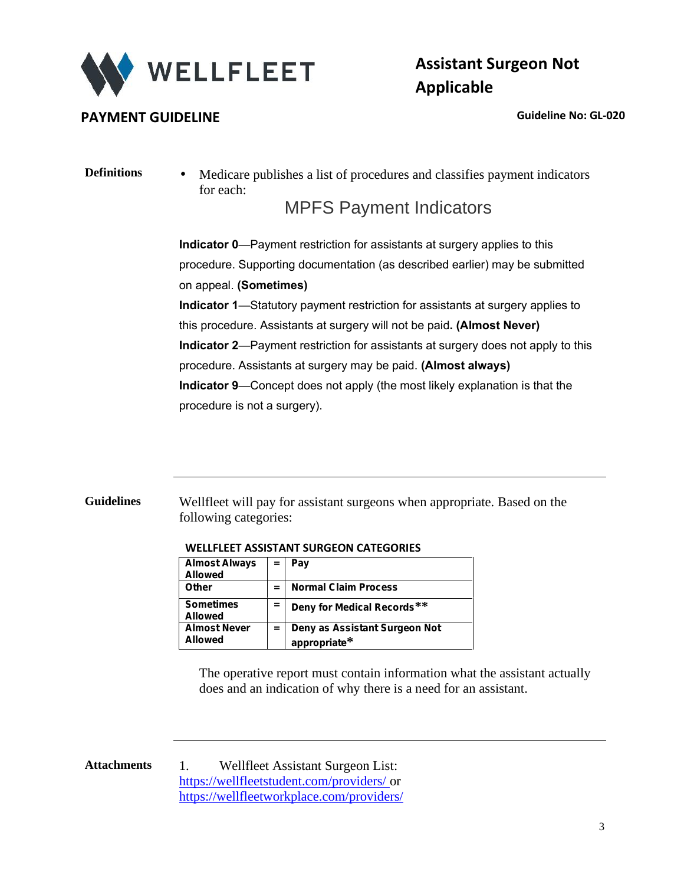

## **PAYMENT GUIDELINE CONSERVANCE CONSERVANCE CONSERVANCE CONSERVANCE CONSERVANCE CONSERVANCE CONSERVANCE CONSERVANCE CONSERVANCE CONSERVANCE CONSERVANCE CONSERVANCE CONSERVANCE CONSERVANCE CONSERVANCE CONSERVANCE CONSERVAN**

# **Assistant Surgeon Not Applicable**

**Definitions** Medicare publishes a list of procedures and classifies payment indicators for each:

## MPFS Payment Indicators

**Indicator 0**—Payment restriction for assistants at surgery applies to this procedure. Supporting documentation (as described earlier) may be submitted on appeal. **(Sometimes) Indicator 1**—Statutory payment restriction for assistants at surgery applies to this procedure. Assistants at surgery will not be paid**. (Almost Never) Indicator 2**—Payment restriction for assistants at surgery does not apply to this procedure. Assistants at surgery may be paid. **(Almost always) Indicator 9**—Concept does not apply (the most likely explanation is that the procedure is not a surgery).

**Guidelines** Wellfleet will pay for assistant surgeons when appropriate. Based on the following categories:

| Almost Always $\  = \ $ Pay<br><b>Allowed</b> |                             |
|-----------------------------------------------|-----------------------------|
| Other                                         | <b>Normal Claim Process</b> |

**appropriate\***

#### **WELLFLEET ASSISTANT SURGEON CATEGORIES**

**Sometimes**

**Almost Never**

**Allowed**

**Allowed**

| The operative report must contain information what the assistant actually |
|---------------------------------------------------------------------------|
| does and an indication of why there is a need for an assistant.           |

**= Deny for Medical Records\*\***

**= Deny as Assistant Surgeon Not**

**Attachments** 1. Wellfleet Assistant Surgeon List: https://wellfleetstudent.com/providers/ or https://wellfleetworkplace.com/providers/